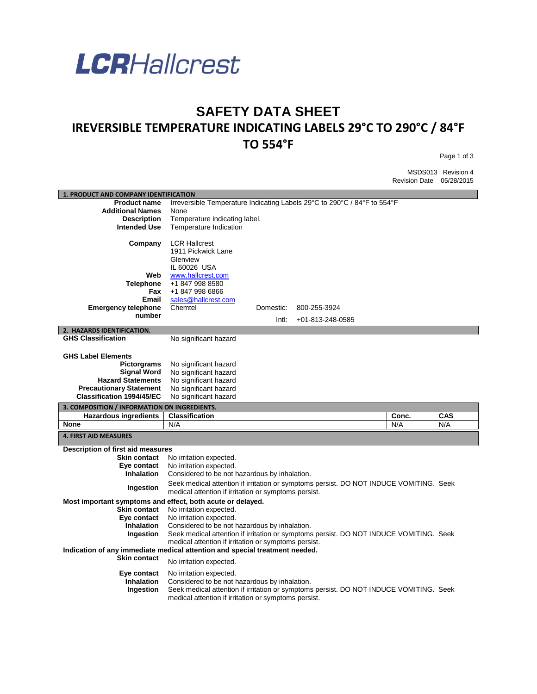

## **SAFETY DATA SHEET IREVERSIBLE TEMPERATURE INDICATING LABELS 29°C TO 290°C / 84°F TO 554°F**

Page 1 of 3

MSDS013 Revision 4 Revision Date 05/28/2015

| 1. PRODUCT AND COMPANY IDENTIFICATION                                       |                                                                                                                                                |           |                  |  |       |            |
|-----------------------------------------------------------------------------|------------------------------------------------------------------------------------------------------------------------------------------------|-----------|------------------|--|-------|------------|
| <b>Product name</b>                                                         | Irreversible Temperature Indicating Labels 29°C to 290°C / 84°F to 554°F                                                                       |           |                  |  |       |            |
| <b>Additional Names</b>                                                     | None                                                                                                                                           |           |                  |  |       |            |
| <b>Description</b>                                                          | Temperature indicating label.                                                                                                                  |           |                  |  |       |            |
| <b>Intended Use</b>                                                         | Temperature Indication                                                                                                                         |           |                  |  |       |            |
| Company                                                                     | <b>LCR Hallcrest</b><br>1911 Pickwick Lane<br>Glenview                                                                                         |           |                  |  |       |            |
|                                                                             | IL 60026 USA                                                                                                                                   |           |                  |  |       |            |
| Web                                                                         | www.hallcrest.com                                                                                                                              |           |                  |  |       |            |
| <b>Telephone</b>                                                            | +1 847 998 8580                                                                                                                                |           |                  |  |       |            |
| Fax                                                                         | +1 847 998 6866                                                                                                                                |           |                  |  |       |            |
| Email                                                                       | sales@hallcrest.com                                                                                                                            |           |                  |  |       |            |
| <b>Emergency telephone</b>                                                  | Chemtel                                                                                                                                        | Domestic: | 800-255-3924     |  |       |            |
| number                                                                      |                                                                                                                                                | Intl:     | +01-813-248-0585 |  |       |            |
| 2. HAZARDS IDENTIFICATION.                                                  |                                                                                                                                                |           |                  |  |       |            |
| <b>GHS Classification</b>                                                   | No significant hazard                                                                                                                          |           |                  |  |       |            |
|                                                                             |                                                                                                                                                |           |                  |  |       |            |
| <b>GHS Label Elements</b>                                                   |                                                                                                                                                |           |                  |  |       |            |
| <b>Pictorgrams</b>                                                          | No significant hazard                                                                                                                          |           |                  |  |       |            |
| <b>Signal Word</b>                                                          | No significant hazard                                                                                                                          |           |                  |  |       |            |
| <b>Hazard Statements</b>                                                    | No significant hazard                                                                                                                          |           |                  |  |       |            |
| <b>Precautionary Statement</b>                                              | No significant hazard                                                                                                                          |           |                  |  |       |            |
| <b>Classification 1994/45/EC</b>                                            | No significant hazard                                                                                                                          |           |                  |  |       |            |
|                                                                             |                                                                                                                                                |           |                  |  |       |            |
| 3. COMPOSITION / INFORMATION ON INGREDIENTS.                                |                                                                                                                                                |           |                  |  |       |            |
| <b>Hazardous ingredients</b>                                                | <b>Classification</b>                                                                                                                          |           |                  |  | Conc. | <b>CAS</b> |
| None                                                                        | N/A                                                                                                                                            |           |                  |  | N/A   | N/A        |
| <b>4. FIRST AID MEASURES</b>                                                |                                                                                                                                                |           |                  |  |       |            |
|                                                                             |                                                                                                                                                |           |                  |  |       |            |
| Description of first aid measures<br><b>Skin contact</b>                    |                                                                                                                                                |           |                  |  |       |            |
| Eye contact                                                                 | No irritation expected.<br>No irritation expected.                                                                                             |           |                  |  |       |            |
| <b>Inhalation</b>                                                           | Considered to be not hazardous by inhalation.                                                                                                  |           |                  |  |       |            |
| Ingestion                                                                   | Seek medical attention if irritation or symptoms persist. DO NOT INDUCE VOMITING. Seek<br>medical attention if irritation or symptoms persist. |           |                  |  |       |            |
| Most important symptoms and effect, both acute or delayed.                  |                                                                                                                                                |           |                  |  |       |            |
| <b>Skin contact</b>                                                         | No irritation expected.                                                                                                                        |           |                  |  |       |            |
| Eye contact                                                                 | No irritation expected.                                                                                                                        |           |                  |  |       |            |
| <b>Inhalation</b>                                                           | Considered to be not hazardous by inhalation.                                                                                                  |           |                  |  |       |            |
| Ingestion                                                                   | Seek medical attention if irritation or symptoms persist. DO NOT INDUCE VOMITING. Seek                                                         |           |                  |  |       |            |
|                                                                             | medical attention if irritation or symptoms persist.                                                                                           |           |                  |  |       |            |
| Indication of any immediate medical attention and special treatment needed. |                                                                                                                                                |           |                  |  |       |            |
| <b>Skin contact</b>                                                         | No irritation expected.                                                                                                                        |           |                  |  |       |            |
| Eye contact                                                                 | No irritation expected.                                                                                                                        |           |                  |  |       |            |
| <b>Inhalation</b>                                                           | Considered to be not hazardous by inhalation.                                                                                                  |           |                  |  |       |            |
| Ingestion                                                                   | Seek medical attention if irritation or symptoms persist. DO NOT INDUCE VOMITING. Seek<br>medical attention if irritation or symptoms persist. |           |                  |  |       |            |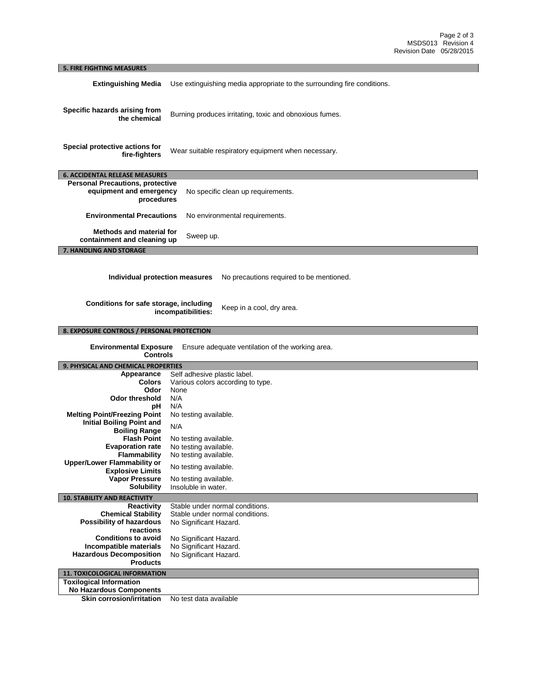| <b>5. FIRE FIGHTING MEASURES</b>                                                                                                                                        |                                                                         |  |  |
|-------------------------------------------------------------------------------------------------------------------------------------------------------------------------|-------------------------------------------------------------------------|--|--|
| <b>Extinguishing Media</b>                                                                                                                                              | Use extinguishing media appropriate to the surrounding fire conditions. |  |  |
| Specific hazards arising from<br>the chemical                                                                                                                           | Burning produces irritating, toxic and obnoxious fumes.                 |  |  |
| Special protective actions for<br>fire-fighters                                                                                                                         | Wear suitable respiratory equipment when necessary.                     |  |  |
| <b>6. ACCIDENTAL RELEASE MEASURES</b>                                                                                                                                   |                                                                         |  |  |
| <b>Personal Precautions, protective</b>                                                                                                                                 |                                                                         |  |  |
| equipment and emergency<br>procedures                                                                                                                                   | No specific clean up requirements.                                      |  |  |
| <b>Environmental Precautions</b><br>No environmental requirements.                                                                                                      |                                                                         |  |  |
| Methods and material for<br>Sweep up.<br>containment and cleaning up                                                                                                    |                                                                         |  |  |
| 7. HANDLING AND STORAGE                                                                                                                                                 |                                                                         |  |  |
| Individual protection measures<br>No precautions required to be mentioned.<br>Conditions for safe storage, including<br>Keep in a cool, dry area.<br>incompatibilities: |                                                                         |  |  |
| 8. EXPOSURE CONTROLS / PERSONAL PROTECTION                                                                                                                              |                                                                         |  |  |
| <b>Environmental Exposure</b><br>Ensure adequate ventilation of the working area.<br><b>Controls</b>                                                                    |                                                                         |  |  |
| 9. PHYSICAL AND CHEMICAL PROPERTIES                                                                                                                                     |                                                                         |  |  |
| Appearance                                                                                                                                                              | Self adhesive plastic label.                                            |  |  |
| <b>Colors</b>                                                                                                                                                           | Various colors according to type.                                       |  |  |
| Odor                                                                                                                                                                    | None                                                                    |  |  |
| <b>Odor threshold</b>                                                                                                                                                   | N/A                                                                     |  |  |
| рH                                                                                                                                                                      | N/A                                                                     |  |  |
| <b>Melting Point/Freezing Point</b><br><b>Initial Boiling Point and</b>                                                                                                 | No testing available.                                                   |  |  |
| <b>Boiling Range</b>                                                                                                                                                    | N/A                                                                     |  |  |
| <b>Flash Point</b>                                                                                                                                                      | No testing available.                                                   |  |  |
| <b>Evaporation rate</b>                                                                                                                                                 | No testing available.                                                   |  |  |
| <b>Flammability</b>                                                                                                                                                     | No testing available.                                                   |  |  |
| <b>Upper/Lower Flammability or</b>                                                                                                                                      | No testing available.                                                   |  |  |
| <b>Explosive Limits</b>                                                                                                                                                 |                                                                         |  |  |
| <b>Vapor Pressure</b>                                                                                                                                                   | No testing available.                                                   |  |  |
| <b>Solubility</b>                                                                                                                                                       | Insoluble in water.                                                     |  |  |
| <b>10. STABILITY AND REACTIVITY</b>                                                                                                                                     |                                                                         |  |  |
| <b>Reactivity</b><br><b>Chemical Stability</b>                                                                                                                          | Stable under normal conditions.<br>Stable under normal conditions.      |  |  |
| <b>Possibility of hazardous</b>                                                                                                                                         | No Significant Hazard.                                                  |  |  |
| reactions                                                                                                                                                               |                                                                         |  |  |
| <b>Conditions to avoid</b>                                                                                                                                              | No Significant Hazard.                                                  |  |  |
| Incompatible materials                                                                                                                                                  | No Significant Hazard.                                                  |  |  |
| <b>Hazardous Decomposition</b>                                                                                                                                          | No Significant Hazard.                                                  |  |  |
| <b>Products</b>                                                                                                                                                         |                                                                         |  |  |
| <b>11. TOXICOLOGICAL INFORMATION</b>                                                                                                                                    |                                                                         |  |  |
| <b>Toxilogical Information</b>                                                                                                                                          |                                                                         |  |  |
|                                                                                                                                                                         |                                                                         |  |  |
| <b>No Hazardous Components</b><br><b>Skin corrosion/irritation</b>                                                                                                      | No test data available                                                  |  |  |